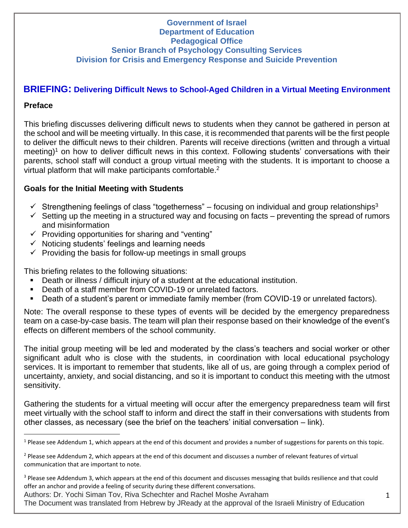#### **Government of Israel Department of Education Pedagogical Office Senior Branch of Psychology Consulting Services Division for Crisis and Emergency Response and Suicide Prevention**

# **BRIEFING: Delivering Difficult News to School-Aged Children in a Virtual Meeting Environment**

# **Preface**

This briefing discusses delivering difficult news to students when they cannot be gathered in person at the school and will be meeting virtually. In this case, it is recommended that parents will be the first people to deliver the difficult news to their children. Parents will receive directions (written and through a virtual meeting)<sup>1</sup> on how to deliver difficult news in this context. Following students' conversations with their parents, school staff will conduct a group virtual meeting with the students. It is important to choose a virtual platform that will make participants comfortable. 2

# **Goals for the Initial Meeting with Students**

- $\checkmark$  Strengthening feelings of class "togetherness" focusing on individual and group relationships<sup>3</sup>
- $\checkmark$  Setting up the meeting in a structured way and focusing on facts preventing the spread of rumors and misinformation
- $\checkmark$  Providing opportunities for sharing and "venting"
- $\checkmark$  Noticing students' feelings and learning needs
- $\checkmark$  Providing the basis for follow-up meetings in small groups

This briefing relates to the following situations:

- Death or illness / difficult injury of a student at the educational institution.
- Death of a staff member from COVID-19 or unrelated factors.
- Death of a student's parent or immediate family member (from COVID-19 or unrelated factors).

Note: The overall response to these types of events will be decided by the emergency preparedness team on a case-by-case basis. The team will plan their response based on their knowledge of the event's effects on different members of the school community.

The initial group meeting will be led and moderated by the class's teachers and social worker or other significant adult who is close with the students, in coordination with local educational psychology services. It is important to remember that students, like all of us, are going through a complex period of uncertainty, anxiety, and social distancing, and so it is important to conduct this meeting with the utmost sensitivity.

Gathering the students for a virtual meeting will occur after the emergency preparedness team will first meet virtually with the school staff to inform and direct the staff in their conversations with students from other classes, as necessary (see the brief on the teachers' initial conversation – link).

Authors: Dr. Yochi Siman Tov, Riva Schechter and Rachel Moshe Avraham

The Document was translated from Hebrew by JReady at the approval of the Israeli Ministry of Education

 $1$  Please see Addendum 1, which appears at the end of this document and provides a number of suggestions for parents on this topic.

<sup>&</sup>lt;sup>2</sup> Please see Addendum 2, which appears at the end of this document and discusses a number of relevant features of virtual communication that are important to note.

<sup>&</sup>lt;sup>3</sup> Please see Addendum 3, which appears at the end of this document and discusses messaging that builds resilience and that could offer an anchor and provide a feeling of security during these different conversations.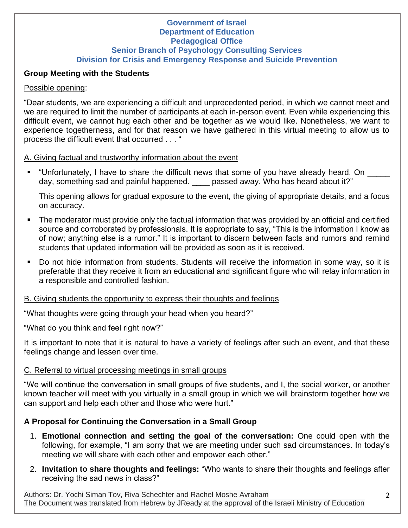#### **Government of Israel Department of Education Pedagogical Office Senior Branch of Psychology Consulting Services Division for Crisis and Emergency Response and Suicide Prevention**

#### **Group Meeting with the Students**

### Possible opening:

"Dear students, we are experiencing a difficult and unprecedented period, in which we cannot meet and we are required to limit the number of participants at each in-person event. Even while experiencing this difficult event, we cannot hug each other and be together as we would like. Nonetheless, we want to experience togetherness, and for that reason we have gathered in this virtual meeting to allow us to process the difficult event that occurred . . . "

#### A. Giving factual and trustworthy information about the event

▪ "Unfortunately, I have to share the difficult news that some of you have already heard. On \_\_\_\_\_ day, something sad and painful happened. \_\_\_\_ passed away. Who has heard about it?"

This opening allows for gradual exposure to the event, the giving of appropriate details, and a focus on accuracy.

- The moderator must provide only the factual information that was provided by an official and certified source and corroborated by professionals. It is appropriate to say, "This is the information I know as of now; anything else is a rumor." It is important to discern between facts and rumors and remind students that updated information will be provided as soon as it is received.
- Do not hide information from students. Students will receive the information in some way, so it is preferable that they receive it from an educational and significant figure who will relay information in a responsible and controlled fashion.

# B. Giving students the opportunity to express their thoughts and feelings

"What thoughts were going through your head when you heard?"

"What do you think and feel right now?"

It is important to note that it is natural to have a variety of feelings after such an event, and that these feelings change and lessen over time.

# C. Referral to virtual processing meetings in small groups

"We will continue the conversation in small groups of five students, and I, the social worker, or another known teacher will meet with you virtually in a small group in which we will brainstorm together how we can support and help each other and those who were hurt."

# **A Proposal for Continuing the Conversation in a Small Group**

- 1. **Emotional connection and setting the goal of the conversation:** One could open with the following, for example, "I am sorry that we are meeting under such sad circumstances. In today's meeting we will share with each other and empower each other."
- 2. **Invitation to share thoughts and feelings:** "Who wants to share their thoughts and feelings after receiving the sad news in class?"

Authors: Dr. Yochi Siman Tov, Riva Schechter and Rachel Moshe Avraham The Document was translated from Hebrew by JReady at the approval of the Israeli Ministry of Education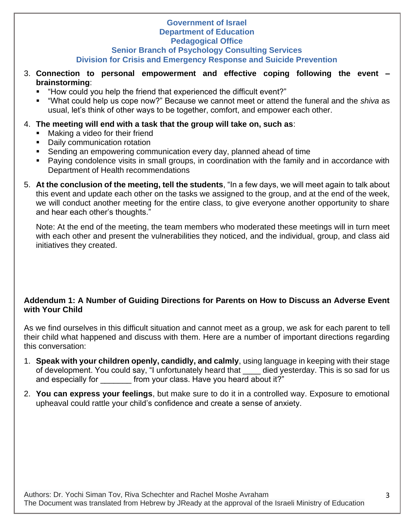#### **Government of Israel Department of Education Pedagogical Office**

### **Senior Branch of Psychology Consulting Services Division for Crisis and Emergency Response and Suicide Prevention**

- 3. **Connection to personal empowerment and effective coping following the event – brainstorming**:
	- "How could you help the friend that experienced the difficult event?"
	- "What could help us cope now?" Because we cannot meet or attend the funeral and the *shiva* as usual, let's think of other ways to be together, comfort, and empower each other.

# 4. **The meeting will end with a task that the group will take on, such as**:

- Making a video for their friend
- Daily communication rotation
- **E** Sending an empowering communication every day, planned ahead of time
- Paying condolence visits in small groups, in coordination with the family and in accordance with Department of Health recommendations
- 5. **At the conclusion of the meeting, tell the students**, "In a few days, we will meet again to talk about this event and update each other on the tasks we assigned to the group, and at the end of the week, we will conduct another meeting for the entire class, to give everyone another opportunity to share and hear each other's thoughts."

Note: At the end of the meeting, the team members who moderated these meetings will in turn meet with each other and present the vulnerabilities they noticed, and the individual, group, and class aid initiatives they created.

# **Addendum 1: A Number of Guiding Directions for Parents on How to Discuss an Adverse Event with Your Child**

As we find ourselves in this difficult situation and cannot meet as a group, we ask for each parent to tell their child what happened and discuss with them. Here are a number of important directions regarding this conversation:

- 1. **Speak with your children openly, candidly, and calmly**, using language in keeping with their stage of development. You could say, "I unfortunately heard that \_\_\_\_ died yesterday. This is so sad for us and especially for **the state of the state of the state of the state of the state is and essent it?"**
- 2. **You can express your feelings**, but make sure to do it in a controlled way. Exposure to emotional upheaval could rattle your child's confidence and create a sense of anxiety.

Authors: Dr. Yochi Siman Tov, Riva Schechter and Rachel Moshe Avraham The Document was translated from Hebrew by JReady at the approval of the Israeli Ministry of Education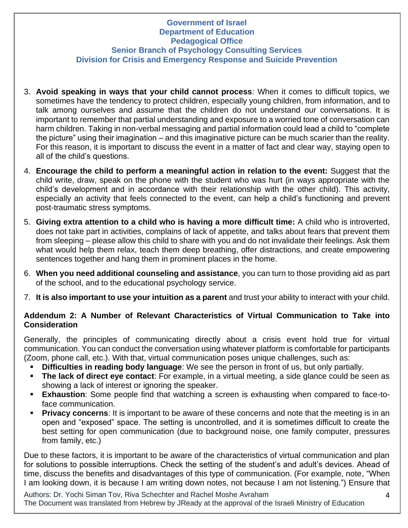### **Government of Israel Department of Education Pedagogical Office Senior Branch of Psychology Consulting Services Division for Crisis and Emergency Response and Suicide Prevention**

- 3. **Avoid speaking in ways that your child cannot process**: When it comes to difficult topics, we sometimes have the tendency to protect children, especially young children, from information, and to talk among ourselves and assume that the children do not understand our conversations. It is important to remember that partial understanding and exposure to a worried tone of conversation can harm children. Taking in non-verbal messaging and partial information could lead a child to "complete the picture" using their imagination – and this imaginative picture can be much scarier than the reality. For this reason, it is important to discuss the event in a matter of fact and clear way, staying open to all of the child's questions.
- 4. **Encourage the child to perform a meaningful action in relation to the event:** Suggest that the child write, draw, speak on the phone with the student who was hurt (in ways appropriate with the child's development and in accordance with their relationship with the other child). This activity, especially an activity that feels connected to the event, can help a child's functioning and prevent post-traumatic stress symptoms.
- 5. **Giving extra attention to a child who is having a more difficult time:** A child who is introverted, does not take part in activities, complains of lack of appetite, and talks about fears that prevent them from sleeping – please allow this child to share with you and do not invalidate their feelings. Ask them what would help them relax, teach them deep breathing, offer distractions, and create empowering sentences together and hang them in prominent places in the home.
- 6. **When you need additional counseling and assistance**, you can turn to those providing aid as part of the school, and to the educational psychology service.
- 7. **It is also important to use your intuition as a parent** and trust your ability to interact with your child.

### **Addendum 2: A Number of Relevant Characteristics of Virtual Communication to Take into Consideration**

Generally, the principles of communicating directly about a crisis event hold true for virtual communication. You can conduct the conversation using whatever platform is comfortable for participants (Zoom, phone call, etc.). With that, virtual communication poses unique challenges, such as:

- **Difficulties in reading body language**: We see the person in front of us, but only partially.
- **The lack of direct eye contact**: For example, in a virtual meeting, a side glance could be seen as showing a lack of interest or ignoring the speaker.
- **Exhaustion**: Some people find that watching a screen is exhausting when compared to face-toface communication.
- **Privacy concerns**: It is important to be aware of these concerns and note that the meeting is in an open and "exposed" space. The setting is uncontrolled, and it is sometimes difficult to create the best setting for open communication (due to background noise, one family computer, pressures from family, etc.)

Due to these factors, it is important to be aware of the characteristics of virtual communication and plan for solutions to possible interruptions. Check the setting of the student's and adult's devices. Ahead of time, discuss the benefits and disadvantages of this type of communication. (For example, note, "When I am looking down, it is because I am writing down notes, not because I am not listening.") Ensure that

Authors: Dr. Yochi Siman Tov, Riva Schechter and Rachel Moshe Avraham The Document was translated from Hebrew by JReady at the approval of the Israeli Ministry of Education